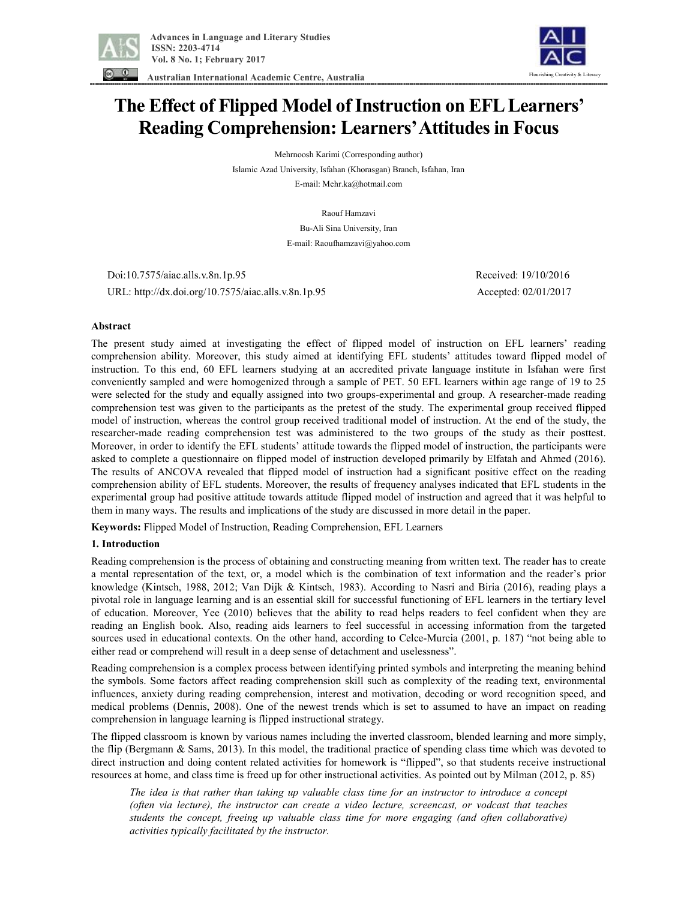

 **Australian International Academic Centre, Australia** 



# **The Effect of Flipped Model of Instruction on EFL Learners' Reading Comprehension: Learners'Attitudes in Focus**

Mehrnoosh Karimi (Corresponding author) Islamic Azad University, Isfahan (Khorasgan) Branch, Isfahan, Iran E-mail: Mehr.ka@hotmail.com

> Raouf Hamzavi Bu-Ali Sina University, Iran E-mail: Raoufhamzavi@yahoo.com

 Doi:10.7575/aiac.alls.v.8n.1p.95 Received: 19/10/2016 URL: http://dx.doi.org/10.7575/aiac.alls.v.8n.1p.95 Accepted: 02/01/2017

# **Abstract**

The present study aimed at investigating the effect of flipped model of instruction on EFL learners' reading comprehension ability. Moreover, this study aimed at identifying EFL students' attitudes toward flipped model of instruction. To this end, 60 EFL learners studying at an accredited private language institute in Isfahan were first conveniently sampled and were homogenized through a sample of PET. 50 EFL learners within age range of 19 to 25 were selected for the study and equally assigned into two groups-experimental and group. A researcher-made reading comprehension test was given to the participants as the pretest of the study. The experimental group received flipped model of instruction, whereas the control group received traditional model of instruction. At the end of the study, the researcher-made reading comprehension test was administered to the two groups of the study as their posttest. Moreover, in order to identify the EFL students' attitude towards the flipped model of instruction, the participants were asked to complete a questionnaire on flipped model of instruction developed primarily by Elfatah and Ahmed (2016). The results of ANCOVA revealed that flipped model of instruction had a significant positive effect on the reading comprehension ability of EFL students. Moreover, the results of frequency analyses indicated that EFL students in the experimental group had positive attitude towards attitude flipped model of instruction and agreed that it was helpful to them in many ways. The results and implications of the study are discussed in more detail in the paper.

**Keywords:** Flipped Model of Instruction, Reading Comprehension, EFL Learners

## **1. Introduction**

Reading comprehension is the process of obtaining and constructing meaning from written text. The reader has to create a mental representation of the text, or, a model which is the combination of text information and the reader's prior knowledge (Kintsch, 1988, 2012; Van Dijk & Kintsch, 1983). According to Nasri and Biria (2016), reading plays a pivotal role in language learning and is an essential skill for successful functioning of EFL learners in the tertiary level of education. Moreover, Yee (2010) believes that the ability to read helps readers to feel confident when they are reading an English book. Also, reading aids learners to feel successful in accessing information from the targeted sources used in educational contexts. On the other hand, according to Celce-Murcia (2001, p. 187) "not being able to either read or comprehend will result in a deep sense of detachment and uselessness".

Reading comprehension is a complex process between identifying printed symbols and interpreting the meaning behind the symbols. Some factors affect reading comprehension skill such as complexity of the reading text, environmental influences, anxiety during reading comprehension, interest and motivation, decoding or word recognition speed, and medical problems (Dennis, 2008). One of the newest trends which is set to assumed to have an impact on reading comprehension in language learning is flipped instructional strategy.

The flipped classroom is known by various names including the inverted classroom, blended learning and more simply, the flip (Bergmann & Sams, 2013). In this model, the traditional practice of spending class time which was devoted to direct instruction and doing content related activities for homework is "flipped", so that students receive instructional resources at home, and class time is freed up for other instructional activities. As pointed out by Milman (2012, p. 85)

The idea is that rather than taking up valuable class time for an instructor to introduce a concept *(often via lecture), the instructor can create a video lecture, screencast, or vodcast that teaches students the concept, freeing up valuable class time for more engaging (and often collaborative) activities typically facilitated by the instructor.*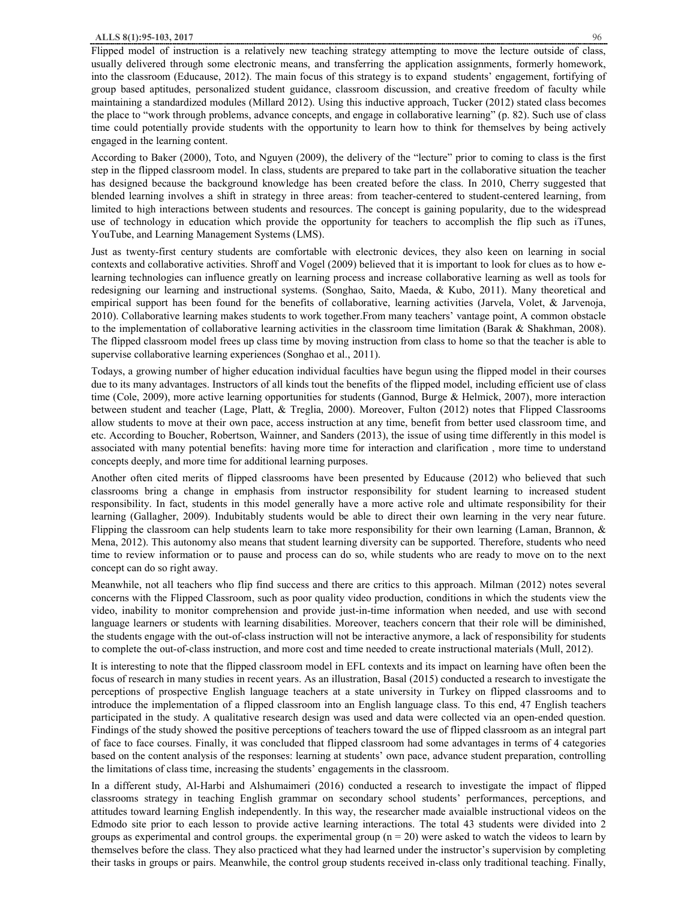Flipped model of instruction is a relatively new teaching strategy attempting to move the lecture outside of class, usually delivered through some electronic means, and transferring the application assignments, formerly homework, into the classroom (Educause, 2012). The main focus of this strategy is to expand students' engagement, fortifying of group based aptitudes, personalized student guidance, classroom discussion, and creative freedom of faculty while maintaining a standardized modules (Millard 2012). Using this inductive approach, Tucker (2012) stated class becomes the place to "work through problems, advance concepts, and engage in collaborative learning" (p. 82). Such use of class time could potentially provide students with the opportunity to learn how to think for themselves by being actively engaged in the learning content.

According to Baker (2000), Toto, and Nguyen (2009), the delivery of the "lecture" prior to coming to class is the first step in the flipped classroom model. In class, students are prepared to take part in the collaborative situation the teacher has designed because the background knowledge has been created before the class. In 2010, Cherry suggested that blended learning involves a shift in strategy in three areas: from teacher-centered to student-centered learning, from limited to high interactions between students and resources. The concept is gaining popularity, due to the widespread use of technology in education which provide the opportunity for teachers to accomplish the flip such as iTunes, YouTube, and Learning Management Systems (LMS).

Just as twenty-first century students are comfortable with electronic devices, they also keen on learning in social contexts and collaborative activities. Shroff and Vogel (2009) believed that it is important to look for clues as to how elearning technologies can influence greatly on learning process and increase collaborative learning as well as tools for redesigning our learning and instructional systems. (Songhao, Saito, Maeda, & Kubo, 2011). Many theoretical and empirical support has been found for the benefits of collaborative, learning activities (Jarvela, Volet, & Jarvenoja, 2010). Collaborative learning makes students to work together.From many teachers' vantage point, A common obstacle to the implementation of collaborative learning activities in the classroom time limitation (Barak & Shakhman, 2008). The flipped classroom model frees up class time by moving instruction from class to home so that the teacher is able to supervise collaborative learning experiences (Songhao et al., 2011).

Todays, a growing number of higher education individual faculties have begun using the flipped model in their courses due to its many advantages. Instructors of all kinds tout the benefits of the flipped model, including efficient use of class time (Cole, 2009), more active learning opportunities for students (Gannod, Burge & Helmick, 2007), more interaction between student and teacher (Lage, Platt, & Treglia, 2000). Moreover, Fulton (2012) notes that Flipped Classrooms allow students to move at their own pace, access instruction at any time, benefit from better used classroom time, and etc. According to Boucher, Robertson, Wainner, and Sanders (2013), the issue of using time differently in this model is associated with many potential benefits: having more time for interaction and clarification , more time to understand concepts deeply, and more time for additional learning purposes.

Another often cited merits of flipped classrooms have been presented by Educause (2012) who believed that such classrooms bring a change in emphasis from instructor responsibility for student learning to increased student responsibility. In fact, students in this model generally have a more active role and ultimate responsibility for their learning (Gallagher, 2009). Indubitably students would be able to direct their own learning in the very near future. Flipping the classroom can help students learn to take more responsibility for their own learning (Laman, Brannon, & Mena, 2012). This autonomy also means that student learning diversity can be supported. Therefore, students who need time to review information or to pause and process can do so, while students who are ready to move on to the next concept can do so right away.

Meanwhile, not all teachers who flip find success and there are critics to this approach. Milman (2012) notes several concerns with the Flipped Classroom, such as poor quality video production, conditions in which the students view the video, inability to monitor comprehension and provide just-in-time information when needed, and use with second language learners or students with learning disabilities. Moreover, teachers concern that their role will be diminished, the students engage with the out-of-class instruction will not be interactive anymore, a lack of responsibility for students to complete the out-of-class instruction, and more cost and time needed to create instructional materials (Mull, 2012).

It is interesting to note that the flipped classroom model in EFL contexts and its impact on learning have often been the focus of research in many studies in recent years. As an illustration, Basal (2015) conducted a research to investigate the perceptions of prospective English language teachers at a state university in Turkey on flipped classrooms and to introduce the implementation of a flipped classroom into an English language class. To this end, 47 English teachers participated in the study. A qualitative research design was used and data were collected via an open-ended question. Findings of the study showed the positive perceptions of teachers toward the use of flipped classroom as an integral part of face to face courses. Finally, it was concluded that flipped classroom had some advantages in terms of 4 categories based on the content analysis of the responses: learning at students' own pace, advance student preparation, controlling the limitations of class time, increasing the students' engagements in the classroom.

In a different study, Al-Harbi and Alshumaimeri (2016) conducted a research to investigate the impact of flipped classrooms strategy in teaching English grammar on secondary school students' performances, perceptions, and attitudes toward learning English independently. In this way, the researcher made avaialble instructional videos on the Edmodo site prior to each lesson to provide active learning interactions. The total 43 students were divided into 2 groups as experimental and control groups. the experimental group  $(n = 20)$  were asked to watch the videos to learn by themselves before the class. They also practiced what they had learned under the instructor's supervision by completing their tasks in groups or pairs. Meanwhile, the control group students received in-class only traditional teaching. Finally,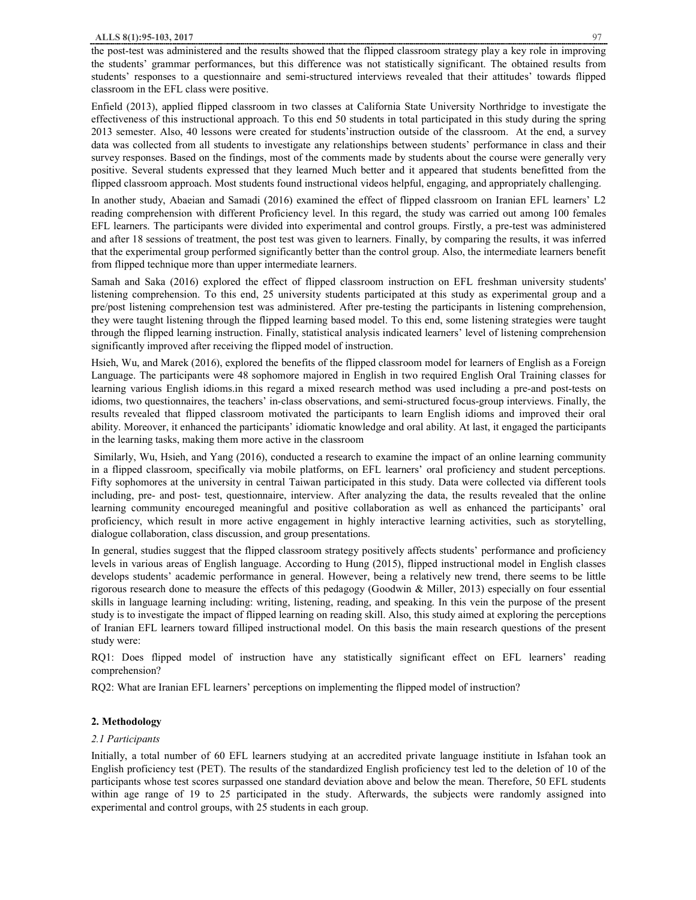the post-test was administered and the results showed that the flipped classroom strategy play a key role in improving the students' grammar performances, but this difference was not statistically significant. The obtained results from students' responses to a questionnaire and semi-structured interviews revealed that their attitudes' towards flipped classroom in the EFL class were positive.

Enfield (2013), applied flipped classroom in two classes at California State University Northridge to investigate the effectiveness of this instructional approach. To this end 50 students in total participated in this study during the spring 2013 semester. Also, 40 lessons were created for students'instruction outside of the classroom. At the end, a survey data was collected from all students to investigate any relationships between students' performance in class and their survey responses. Based on the findings, most of the comments made by students about the course were generally very positive. Several students expressed that they learned Much better and it appeared that students benefitted from the flipped classroom approach. Most students found instructional videos helpful, engaging, and appropriately challenging.

In another study, Abaeian and Samadi (2016) examined the effect of flipped classroom on Iranian EFL learners' L2 reading comprehension with different Proficiency level. In this regard, the study was carried out among 100 females EFL learners. The participants were divided into experimental and control groups. Firstly, a pre-test was administered and after 18 sessions of treatment, the post test was given to learners. Finally, by comparing the results, it was inferred that the experimental group performed significantly better than the control group. Also, the intermediate learners benefit from flipped technique more than upper intermediate learners.

Samah and Saka (2016) explored the effect of flipped classroom instruction on EFL freshman university students' listening comprehension. To this end, 25 university students participated at this study as experimental group and a pre/post listening comprehension test was administered. After pre-testing the participants in listening comprehension, they were taught listening through the flipped learning based model. To this end, some listening strategies were taught through the flipped learning instruction. Finally, statistical analysis indicated learners' level of listening comprehension significantly improved after receiving the flipped model of instruction.

Hsieh, Wu, and Marek (2016), explored the benefits of the flipped classroom model for learners of English as a Foreign Language. The participants were 48 sophomore majored in English in two required English Oral Training classes for learning various English idioms.in this regard a mixed research method was used including a pre-and post-tests on idioms, two questionnaires, the teachers' in-class observations, and semi-structured focus-group interviews. Finally, the results revealed that flipped classroom motivated the participants to learn English idioms and improved their oral ability. Moreover, it enhanced the participants' idiomatic knowledge and oral ability. At last, it engaged the participants in the learning tasks, making them more active in the classroom

Similarly, Wu, Hsieh, and Yang (2016), conducted a research to examine the impact of an online learning community in a flipped classroom, specifically via mobile platforms, on EFL learners' oral proficiency and student perceptions. Fifty sophomores at the university in central Taiwan participated in this study. Data were collected via different tools including, pre- and post- test, questionnaire, interview. After analyzing the data, the results revealed that the online learning community encoureged meaningful and positive collaboration as well as enhanced the participants' oral proficiency, which result in more active engagement in highly interactive learning activities, such as storytelling, dialogue collaboration, class discussion, and group presentations.

In general, studies suggest that the flipped classroom strategy positively affects students' performance and proficiency levels in various areas of English language. According to Hung (2015), flipped instructional model in English classes develops students' academic performance in general. However, being a relatively new trend, there seems to be little rigorous research done to measure the effects of this pedagogy (Goodwin & Miller, 2013) especially on four essential skills in language learning including: writing, listening, reading, and speaking. In this vein the purpose of the present study is to investigate the impact of flipped learning on reading skill. Also, this study aimed at exploring the perceptions of Iranian EFL learners toward filliped instructional model. On this basis the main research questions of the present study were:

RQ1: Does flipped model of instruction have any statistically significant effect on EFL learners' reading comprehension?

RQ2: What are Iranian EFL learners' perceptions on implementing the flipped model of instruction?

## **2. Methodology**

## *2.1 Participants*

Initially, a total number of 60 EFL learners studying at an accredited private language institiute in Isfahan took an English proficiency test (PET). The results of the standardized English proficiency test led to the deletion of 10 of the participants whose test scores surpassed one standard deviation above and below the mean. Therefore, 50 EFL students within age range of 19 to 25 participated in the study. Afterwards, the subjects were randomly assigned into experimental and control groups, with 25 students in each group.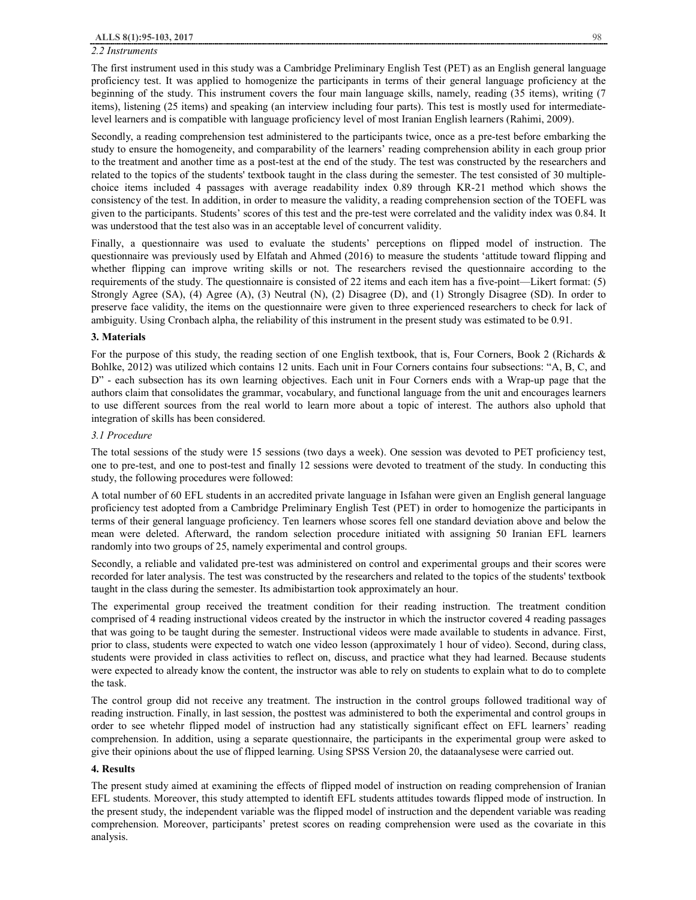#### *2.2 Instruments*

The first instrument used in this study was a Cambridge Preliminary English Test (PET) as an English general language proficiency test. It was applied to homogenize the participants in terms of their general language proficiency at the beginning of the study. This instrument covers the four main language skills, namely, reading (35 items), writing (7 items), listening (25 items) and speaking (an interview including four parts). This test is mostly used for intermediatelevel learners and is compatible with language proficiency level of most Iranian English learners (Rahimi, 2009).

Secondly, a reading comprehension test administered to the participants twice, once as a pre-test before embarking the study to ensure the homogeneity, and comparability of the learners' reading comprehension ability in each group prior to the treatment and another time as a post-test at the end of the study. The test was constructed by the researchers and related to the topics of the students' textbook taught in the class during the semester. The test consisted of 30 multiplechoice items included 4 passages with average readability index 0.89 through KR-21 method which shows the consistency of the test. In addition, in order to measure the validity, a reading comprehension section of the TOEFL was given to the participants. Students' scores of this test and the pre-test were correlated and the validity index was 0.84. It was understood that the test also was in an acceptable level of concurrent validity.

Finally, a questionnaire was used to evaluate the students' perceptions on flipped model of instruction. The questionnaire was previously used by Elfatah and Ahmed (2016) to measure the students 'attitude toward flipping and whether flipping can improve writing skills or not. The researchers revised the questionnaire according to the requirements of the study. The questionnaire is consisted of 22 items and each item has a five-point—Likert format: (5) Strongly Agree (SA), (4) Agree (A), (3) Neutral (N), (2) Disagree (D), and (1) Strongly Disagree (SD). In order to preserve face validity, the items on the questionnaire were given to three experienced researchers to check for lack of ambiguity. Using Cronbach alpha, the reliability of this instrument in the present study was estimated to be 0.91.

#### **3. Materials**

For the purpose of this study, the reading section of one English textbook, that is, Four Corners, Book 2 (Richards & Bohlke, 2012) was utilized which contains 12 units. Each unit in Four Corners contains four subsections: "A, B, C, and D" - each subsection has its own learning objectives. Each unit in Four Corners ends with a Wrap-up page that the authors claim that consolidates the grammar, vocabulary, and functional language from the unit and encourages learners to use different sources from the real world to learn more about a topic of interest. The authors also uphold that integration of skills has been considered.

#### *3.1 Procedure*

The total sessions of the study were 15 sessions (two days a week). One session was devoted to PET proficiency test, one to pre-test, and one to post-test and finally 12 sessions were devoted to treatment of the study. In conducting this study, the following procedures were followed:

A total number of 60 EFL students in an accredited private language in Isfahan were given an English general language proficiency test adopted from a Cambridge Preliminary English Test (PET) in order to homogenize the participants in terms of their general language proficiency. Ten learners whose scores fell one standard deviation above and below the mean were deleted. Afterward, the random selection procedure initiated with assigning 50 Iranian EFL learners randomly into two groups of 25, namely experimental and control groups.

Secondly, a reliable and validated pre-test was administered on control and experimental groups and their scores were recorded for later analysis. The test was constructed by the researchers and related to the topics of the students' textbook taught in the class during the semester. Its admibistartion took approximately an hour.

The experimental group received the treatment condition for their reading instruction. The treatment condition comprised of 4 reading instructional videos created by the instructor in which the instructor covered 4 reading passages that was going to be taught during the semester. Instructional videos were made available to students in advance. First, prior to class, students were expected to watch one video lesson (approximately 1 hour of video). Second, during class, students were provided in class activities to reflect on, discuss, and practice what they had learned. Because students were expected to already know the content, the instructor was able to rely on students to explain what to do to complete the task.

The control group did not receive any treatment. The instruction in the control groups followed traditional way of reading instruction. Finally, in last session, the posttest was administered to both the experimental and control groups in order to see whetehr flipped model of instruction had any statistically significant effect on EFL learners' reading comprehension. In addition, using a separate questionnaire, the participants in the experimental group were asked to give their opinions about the use of flipped learning. Using SPSS Version 20, the dataanalysese were carried out.

### **4. Results**

The present study aimed at examining the effects of flipped model of instruction on reading comprehension of Iranian EFL students. Moreover, this study attempted to identift EFL students attitudes towards flipped mode of instruction. In the present study, the independent variable was the flipped model of instruction and the dependent variable was reading comprehension. Moreover, participants' pretest scores on reading comprehension were used as the covariate in this analysis.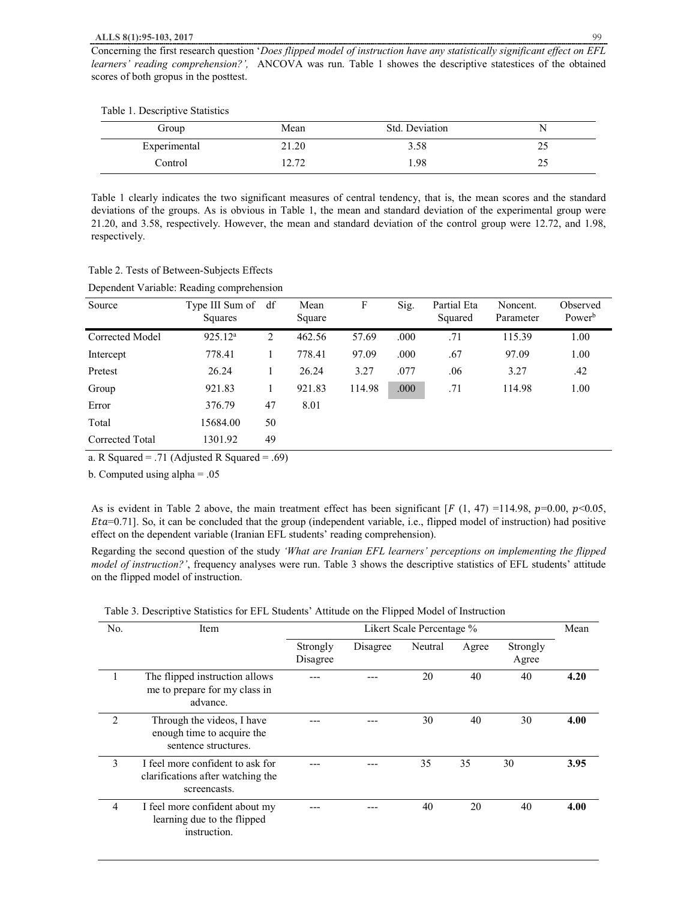| Group        | Mean          | Std. Deviation |          |
|--------------|---------------|----------------|----------|
| Experimental | 21.20         | 3.58           | ت ک      |
| Control      | 70 ٦<br>14.14 | .98            | <b>L</b> |

Table 1 clearly indicates the two significant measures of central tendency, that is, the mean scores and the standard deviations of the groups. As is obvious in Table 1, the mean and standard deviation of the experimental group were 21.20, and 3.58, respectively. However, the mean and standard deviation of the control group were 12.72, and 1.98, respectively.

|  | Table 2. Tests of Between-Subjects Effects |  |
|--|--------------------------------------------|--|
|  |                                            |  |

| Dependent Variable: Reading comprehension |  |  |
|-------------------------------------------|--|--|
|                                           |  |  |

| Source          | Type III Sum of df<br>Squares |    | Mean<br>Square | F      | Sig. | Partial Eta<br>Squared | Noncent.<br>Parameter | Observed<br>Power <sup>b</sup> |
|-----------------|-------------------------------|----|----------------|--------|------|------------------------|-----------------------|--------------------------------|
| Corrected Model | 925.12 <sup>a</sup>           | 2  | 462.56         | 57.69  | .000 | .71                    | 115.39                | 1.00                           |
| Intercept       | 778.41                        | 1  | 778.41         | 97.09  | .000 | .67                    | 97.09                 | 1.00                           |
| Pretest         | 26.24                         |    | 26.24          | 3.27   | .077 | .06                    | 3.27                  | .42                            |
| Group           | 921.83                        | 1  | 921.83         | 114.98 | .000 | .71                    | 114.98                | 1.00                           |
| Error           | 376.79                        | 47 | 8.01           |        |      |                        |                       |                                |
| Total           | 15684.00                      | 50 |                |        |      |                        |                       |                                |
| Corrected Total | 1301.92                       | 49 |                |        |      |                        |                       |                                |

a. R Squared = .71 (Adjusted R Squared = .69)

b. Computed using alpha = .05

As is evident in Table 2 above, the main treatment effect has been significant  $[F(1, 47) =114.98, p=0.00, p<0.05,$  $Et\alpha=0.71$ . So, it can be concluded that the group (independent variable, i.e., flipped model of instruction) had positive effect on the dependent variable (Iranian EFL students' reading comprehension).

Regarding the second question of the study *'What are Iranian EFL learners' perceptions on implementing the flipped model of instruction?'*, frequency analyses were run. Table 3 shows the descriptive statistics of EFL students' attitude on the flipped model of instruction.

| No.            | Item                                                                                  | Likert Scale Percentage % |          |         |       |                   |      |
|----------------|---------------------------------------------------------------------------------------|---------------------------|----------|---------|-------|-------------------|------|
|                |                                                                                       | Strongly<br>Disagree      | Disagree | Neutral | Agree | Strongly<br>Agree |      |
| 1              | The flipped instruction allows<br>me to prepare for my class in<br>advance.           |                           |          | 20      | 40    | 40                | 4.20 |
| $\mathfrak{D}$ | Through the videos, I have<br>enough time to acquire the<br>sentence structures.      |                           |          | 30      | 40    | 30                | 4.00 |
| 3              | I feel more confident to ask for<br>clarifications after watching the<br>screencasts. |                           |          | 35      | 35    | 30                | 3.95 |
| 4              | I feel more confident about my<br>learning due to the flipped<br>instruction.         |                           |          | 40      | 20    | 40                | 4.00 |

Table 3. Descriptive Statistics for EFL Students' Attitude on the Flipped Model of Instruction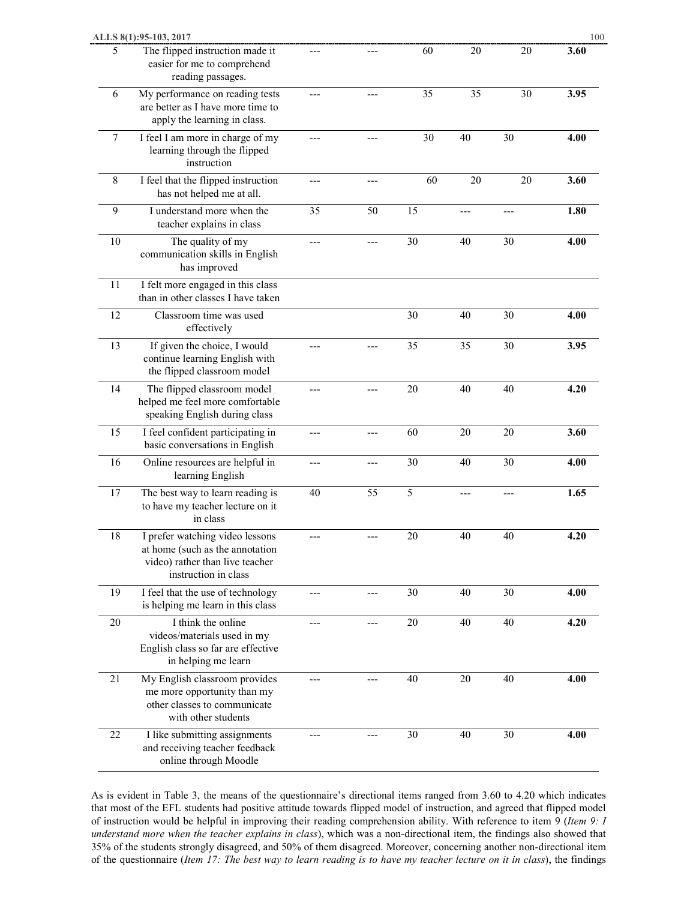|    | ALLS 8(1):95-103, 2017                                                                                                        |     |     |            |     |     | 100  |
|----|-------------------------------------------------------------------------------------------------------------------------------|-----|-----|------------|-----|-----|------|
| 5  | The flipped instruction made it<br>easier for me to comprehend<br>reading passages.                                           |     |     | 60         | 20  | 20  | 3.60 |
| 6  | My performance on reading tests<br>are better as I have more time to<br>apply the learning in class.                          |     |     | 35         | 35  | 30  | 3.95 |
| 7  | I feel I am more in charge of my<br>learning through the flipped<br>instruction                                               |     |     | 30         | 40  | 30  | 4.00 |
| 8  | I feel that the flipped instruction<br>has not helped me at all.                                                              | --- |     | 60         | 20  | 20  | 3.60 |
| 9  | I understand more when the<br>teacher explains in class                                                                       | 35  | 50  | 15         |     |     | 1.80 |
| 10 | The quality of my<br>communication skills in English<br>has improved                                                          | --- |     | 30         | 40  | 30  | 4.00 |
| 11 | I felt more engaged in this class<br>than in other classes I have taken                                                       |     |     |            |     |     |      |
| 12 | Classroom time was used<br>effectively                                                                                        |     |     | 30         | 40  | 30  | 4.00 |
| 13 | If given the choice, I would<br>continue learning English with<br>the flipped classroom model                                 |     |     | 35         | 35  | 30  | 3.95 |
| 14 | The flipped classroom model<br>helped me feel more comfortable<br>speaking English during class                               |     |     | 20         | 40  | 40  | 4.20 |
| 15 | I feel confident participating in<br>basic conversations in English                                                           | --- | --- | 60         | 20  | 20  | 3.60 |
| 16 | Online resources are helpful in<br>learning English                                                                           | --- |     | 30         | 40  | 30  | 4.00 |
| 17 | The best way to learn reading is<br>to have my teacher lecture on it<br>in class                                              | 40  | 55  | $\sqrt{5}$ | --- | --- | 1.65 |
| 18 | I prefer watching video lessons<br>at home (such as the annotation<br>video) rather than live teacher<br>instruction in class |     |     | 20         | 40  | 40  | 4.20 |
| 19 | I feel that the use of technology<br>is helping me learn in this class                                                        | --- | --- | 30         | 40  | 30  | 4.00 |
| 20 | I think the online<br>videos/materials used in my<br>English class so far are effective<br>in helping me learn                | --- |     | $20\,$     | 40  | 40  | 4.20 |
| 21 | My English classroom provides<br>me more opportunity than my<br>other classes to communicate<br>with other students           |     |     | 40         | 20  | 40  | 4.00 |
| 22 | I like submitting assignments<br>and receiving teacher feedback<br>online through Moodle                                      |     |     | 30         | 40  | 30  | 4.00 |

As is evident in Table 3, the means of the questionnaire's directional items ranged from 3.60 to 4.20 which indicates that most of the EFL students had positive attitude towards flipped model of instruction, and agreed that flipped model of instruction would be helpful in improving their reading comprehension ability. With reference to item 9 (*Item 9: I understand more when the teacher explains in class*), which was a non-directional item, the findings also showed that 35% of the students strongly disagreed, and 50% of them disagreed. Moreover, concerning another non-directional item of the questionnaire (Item 17: The best way to learn reading is to have my teacher lecture on it in class), the findings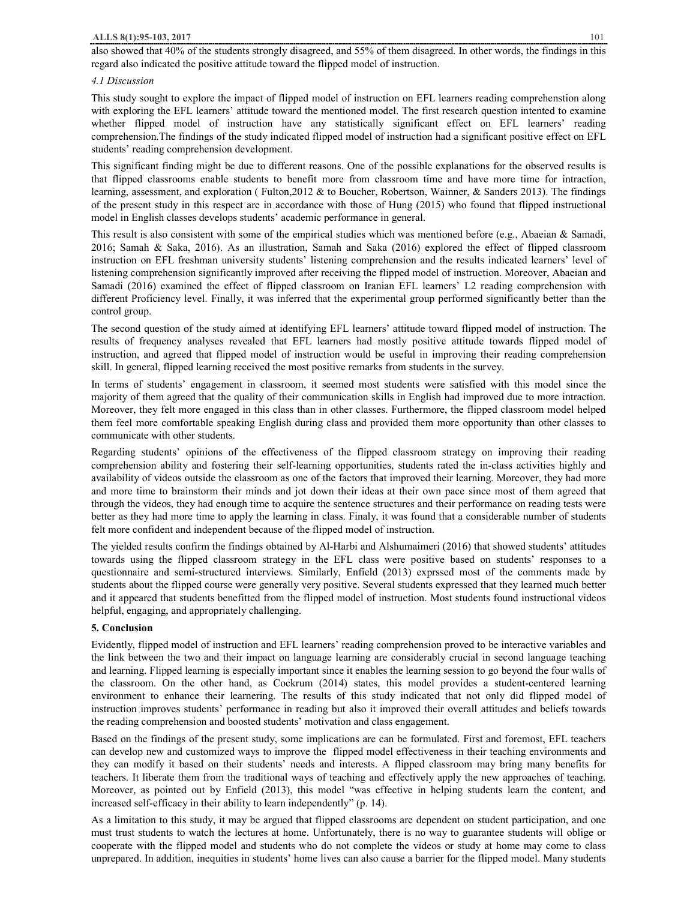#### **ALLS 8(1):95-103, 2017** 101

also showed that 40% of the students strongly disagreed, and 55% of them disagreed. In other words, the findings in this regard also indicated the positive attitude toward the flipped model of instruction.

# *4.1 Discussion*

This study sought to explore the impact of flipped model of instruction on EFL learners reading comprehenstion along with exploring the EFL learners' attitude toward the mentioned model. The first research question intented to examine whether flipped model of instruction have any statistically significant effect on EFL learners' reading comprehension.The findings of the study indicated flipped model of instruction had a significant positive effect on EFL students' reading comprehension development.

This significant finding might be due to different reasons. One of the possible explanations for the observed results is that flipped classrooms enable students to benefit more from classroom time and have more time for intraction, learning, assessment, and exploration ( Fulton,2012 & to Boucher, Robertson, Wainner, & Sanders 2013). The findings of the present study in this respect are in accordance with those of Hung (2015) who found that flipped instructional model in English classes develops students' academic performance in general.

This result is also consistent with some of the empirical studies which was mentioned before (e.g., Abaeian & Samadi, 2016; Samah & Saka, 2016). As an illustration, Samah and Saka (2016) explored the effect of flipped classroom instruction on EFL freshman university students' listening comprehension and the results indicated learners' level of listening comprehension significantly improved after receiving the flipped model of instruction. Moreover, Abaeian and Samadi (2016) examined the effect of flipped classroom on Iranian EFL learners' L2 reading comprehension with different Proficiency level. Finally, it was inferred that the experimental group performed significantly better than the control group.

The second question of the study aimed at identifying EFL learners' attitude toward flipped model of instruction. The results of frequency analyses revealed that EFL learners had mostly positive attitude towards flipped model of instruction, and agreed that flipped model of instruction would be useful in improving their reading comprehension skill. In general, flipped learning received the most positive remarks from students in the survey.

In terms of students' engagement in classroom, it seemed most students were satisfied with this model since the majority of them agreed that the quality of their communication skills in English had improved due to more intraction. Moreover, they felt more engaged in this class than in other classes. Furthermore, the flipped classroom model helped them feel more comfortable speaking English during class and provided them more opportunity than other classes to communicate with other students.

Regarding students' opinions of the effectiveness of the flipped classroom strategy on improving their reading comprehension ability and fostering their self-learning opportunities, students rated the in-class activities highly and availability of videos outside the classroom as one of the factors that improved their learning. Moreover, they had more and more time to brainstorm their minds and jot down their ideas at their own pace since most of them agreed that through the videos, they had enough time to acquire the sentence structures and their performance on reading tests were better as they had more time to apply the learning in class. Finaly, it was found that a considerable number of students felt more confident and independent because of the flipped model of instruction.

The yielded results confirm the findings obtained by Al-Harbi and Alshumaimeri (2016) that showed students' attitudes towards using the flipped classroom strategy in the EFL class were positive based on students' responses to a questionnaire and semi-structured interviews. Similarly, Enfield (2013) exprssed most of the comments made by students about the flipped course were generally very positive. Several students expressed that they learned much better and it appeared that students benefitted from the flipped model of instruction. Most students found instructional videos helpful, engaging, and appropriately challenging.

## **5. Conclusion**

Evidently, flipped model of instruction and EFL learners' reading comprehension proved to be interactive variables and the link between the two and their impact on language learning are considerably crucial in second language teaching and learning. Flipped learning is especially important since it enables the learning session to go beyond the four walls of the classroom. On the other hand, as Cockrum (2014) states, this model provides a student-centered learning environment to enhance their learnering. The results of this study indicated that not only did flipped model of instruction improves students' performance in reading but also it improved their overall attitudes and beliefs towards the reading comprehension and boosted students' motivation and class engagement.

Based on the findings of the present study, some implications are can be formulated. First and foremost, EFL teachers can develop new and customized ways to improve the flipped model effectiveness in their teaching environments and they can modify it based on their students' needs and interests. A flipped classroom may bring many benefits for teachers. It liberate them from the traditional ways of teaching and effectively apply the new approaches of teaching. Moreover, as pointed out by Enfield (2013), this model "was effective in helping students learn the content, and increased self-efficacy in their ability to learn independently" (p. 14).

As a limitation to this study, it may be argued that flipped classrooms are dependent on student participation, and one must trust students to watch the lectures at home. Unfortunately, there is no way to guarantee students will oblige or cooperate with the flipped model and students who do not complete the videos or study at home may come to class unprepared. In addition, inequities in students' home lives can also cause a barrier for the flipped model. Many students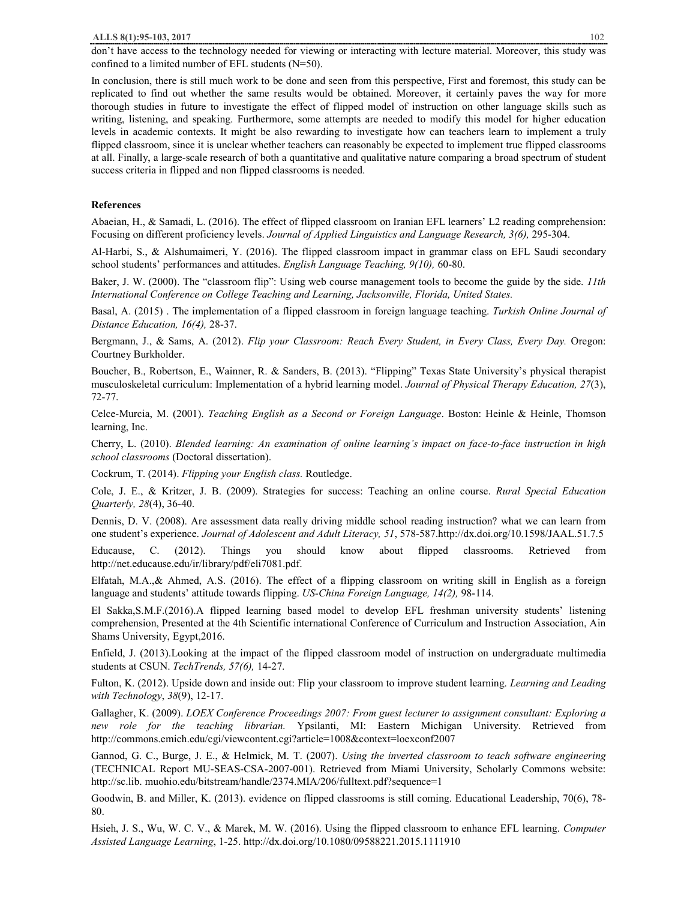don't have access to the technology needed for viewing or interacting with lecture material. Moreover, this study was confined to a limited number of EFL students (N=50).

In conclusion, there is still much work to be done and seen from this perspective, First and foremost, this study can be replicated to find out whether the same results would be obtained. Moreover, it certainly paves the way for more thorough studies in future to investigate the effect of flipped model of instruction on other language skills such as writing, listening, and speaking. Furthermore, some attempts are needed to modify this model for higher education levels in academic contexts. It might be also rewarding to investigate how can teachers learn to implement a truly flipped classroom, since it is unclear whether teachers can reasonably be expected to implement true flipped classrooms at all. Finally, a large-scale research of both a quantitative and qualitative nature comparing a broad spectrum of student success criteria in flipped and non flipped classrooms is needed.

## **References**

Abaeian, H., & Samadi, L. (2016). The effect of flipped classroom on Iranian EFL learners' L2 reading comprehension: Focusing on different proficiency levels. *Journal of Applied Linguistics and Language Research, 3(6),* 295-304.

Al-Harbi, S., & Alshumaimeri, Y. (2016). The flipped classroom impact in grammar class on EFL Saudi secondary school students' performances and attitudes. *English Language Teaching, 9(10),* 60-80.

Baker, J. W. (2000). The "classroom flip": Using web course management tools to become the guide by the side. *11th International Conference on College Teaching and Learning, Jacksonville, Florida, United States.* 

Basal, A. (2015) . The implementation of a flipped classroom in foreign language teaching. *Turkish Online Journal of Distance Education, 16(4),* 28-37.

Bergmann, J., & Sams, A. (2012). *Flip your Classroom: Reach Every Student, in Every Class, Every Day.* Oregon: Courtney Burkholder.

Boucher, B., Robertson, E., Wainner, R. & Sanders, B. (2013). "Flipping" Texas State University's physical therapist musculoskeletal curriculum: Implementation of a hybrid learning model. *Journal of Physical Therapy Education, 27*(3), 72-77.

Celce-Murcia, M. (2001). *Teaching English as a Second or Foreign Language*. Boston: Heinle & Heinle, Thomson learning, Inc.

Cherry, L. (2010). *Blended learning: An examination of online learning's impact on face-to-face instruction in high school classrooms* (Doctoral dissertation).

Cockrum, T. (2014). *Flipping your English class.* Routledge.

Cole, J. E., & Kritzer, J. B. (2009). Strategies for success: Teaching an online course. *Rural Special Education Quarterly, 28*(4), 36-40.

Dennis, D. V. (2008). Are assessment data really driving middle school reading instruction? what we can learn from one student's experience. *Journal of Adolescent and Adult Literacy, 51*, 578-587.http://dx.doi.org/10.1598/JAAL.51.7.5

Educause, C. (2012). Things you should know about flipped classrooms. Retrieved from http://net.educause.edu/ir/library/pdf/eli7081.pdf.

Elfatah, M.A.,& Ahmed, A.S. (2016). The effect of a flipping classroom on writing skill in English as a foreign language and students' attitude towards flipping. *US-China Foreign Language, 14(2),* 98-114.

El Sakka,S.M.F.(2016).A flipped learning based model to develop EFL freshman university students' listening comprehension, Presented at the 4th Scientific international Conference of Curriculum and Instruction Association, Ain Shams University, Egypt,2016.

Enfield, J. (2013).Looking at the impact of the flipped classroom model of instruction on undergraduate multimedia students at CSUN. *TechTrends, 57(6),* 14-27.

Fulton, K. (2012). Upside down and inside out: Flip your classroom to improve student learning. *Learning and Leading with Technology*, *38*(9), 12-17.

Gallagher, K. (2009). *LOEX Conference Proceedings 2007: From guest lecturer to assignment consultant: Exploring a new role for the teaching librarian.* Ypsilanti, MI: Eastern Michigan University. Retrieved from http://commons.emich.edu/cgi/viewcontent.cgi?article=1008&context=loexconf2007

Gannod, G. C., Burge, J. E., & Helmick, M. T. (2007). *Using the inverted classroom to teach software engineering*  (TECHNICAL Report MU-SEAS-CSA-2007-001). Retrieved from Miami University, Scholarly Commons website: http://sc.lib. muohio.edu/bitstream/handle/2374.MIA/206/fulltext.pdf?sequence=1

Goodwin, B. and Miller, K. (2013). evidence on flipped classrooms is still coming. Educational Leadership, 70(6), 78- 80.

Hsieh, J. S., Wu, W. C. V., & Marek, M. W. (2016). Using the flipped classroom to enhance EFL learning. *Computer Assisted Language Learning*, 1-25. http://dx.doi.org/10.1080/09588221.2015.1111910